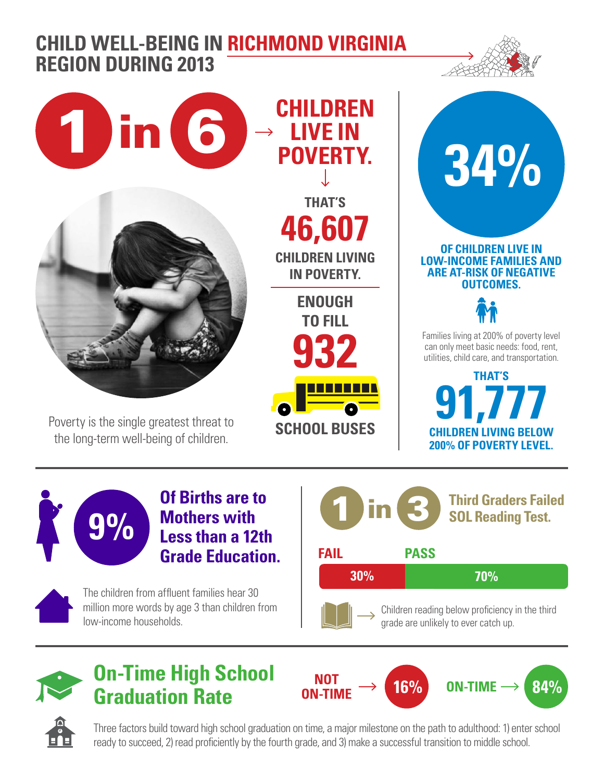## **CHILD WELL-BEING IN RICHMOND VIRGINIA REGION DURING 2013**







Poverty is the single greatest threat to the long-term well-being of children.

**CHILDREN LIVE IN THAT'S 46,607**

**CHILDREN LIVING IN POVERTY.**

**ENOUGH TO FILL 932 SCHOOL BUSES** 

**POVERTY. 34% OF CHILDREN LIVE IN LOW-INCOME FAMILIES AND ARE AT-RISK OF NEGATIVE OUTCOMES.**



Families living at 200% of poverty level can only meet basic needs: food, rent, utilities, child care, and transportation.

**THAT'S 91,777 CHILDREN LIVING BELOW 200% OF POVERTY LEVEL.**



**Of Births are to Mothers with Less than a 12th Grade Education.**



The children from affluent families hear 30 million more words by age 3 than children from low-income households.





**On-Time High School Graduation Rate**

**NOT**   $\overline{ON\text{-}TIME} \rightarrow 16\%$  **ON-TIME**  $\rightarrow 84\%$ 



Three factors build toward high school graduation on time, a major milestone on the path to adulthood: 1) enter school ready to succeed, 2) read proficiently by the fourth grade, and 3) make a successful transition to middle school.